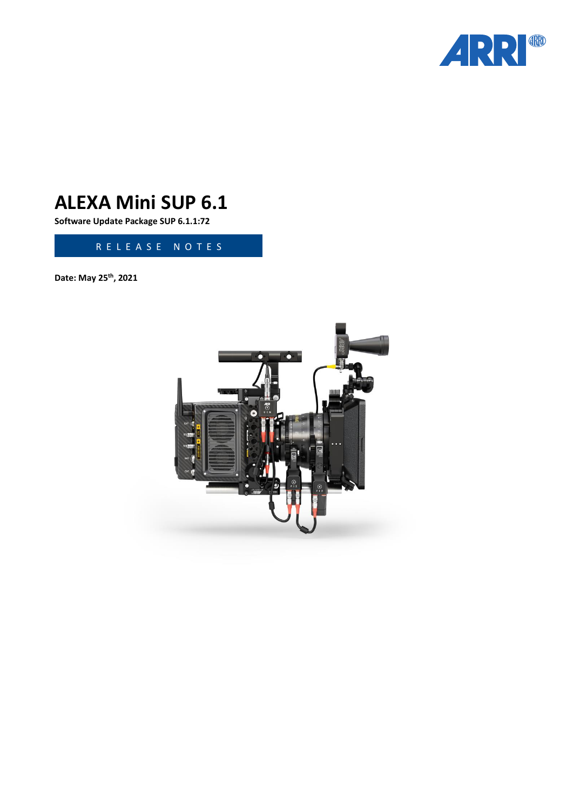

# **ALEXA Mini SUP 6.1**

**Software Update Package SUP 6.1.1:72**

R E L E A S E N O T E S

**Date: May 25 th , 2021**

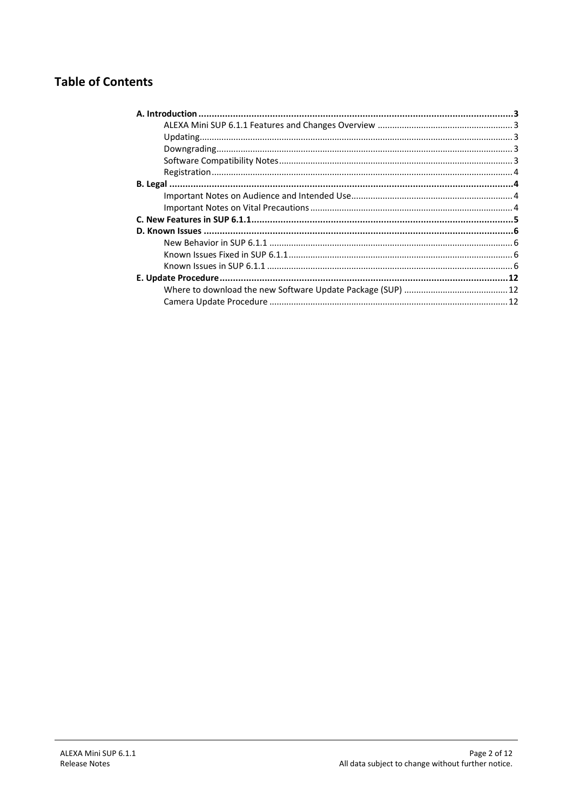## **Table of Contents**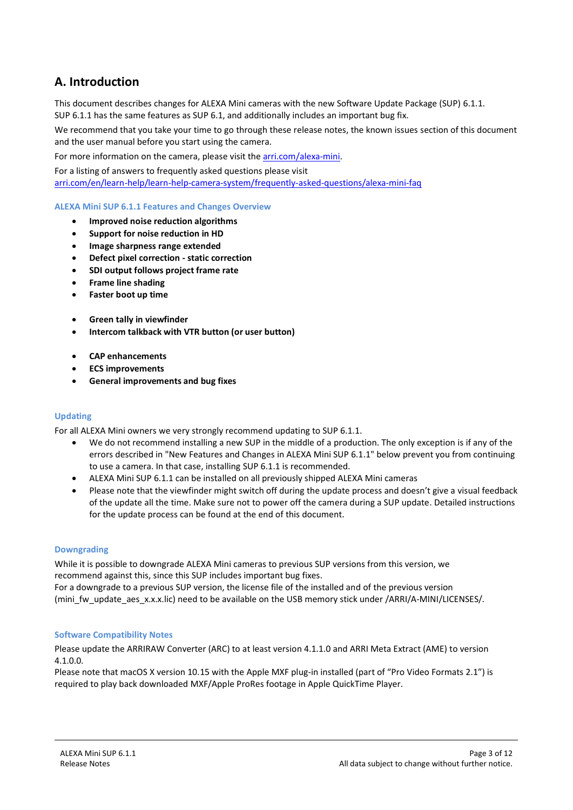## **A. Introduction**

This document describes changes for ALEXA Mini cameras with the new Software Update Package (SUP) 6.1.1. SUP 6.1.1 has the same features as SUP 6.1, and additionally includes an important bug fix.

We recommend that you take your time to go through these release notes, the known issues section of this document and the user manual before you start using the camera.

For more information on the camera, please visit the [arri.com/alexa-mini.](https://www.arri.com/en/camera-systems/cameras/alexa-mini) 

For a listing of answers to frequently asked questions please visit [arri.com/en/learn-help/learn-help-camera-system/frequently-asked-questions/alexa-mini-faq](https://www.arri.com/en/learn-help/learn-help-camera-system/frequently-asked-questions/alexa-mini-faq)

#### **ALEXA Mini SUP 6.1.1 Features and Changes Overview**

- **Improved noise reduction algorithms**
- **Support for noise reduction in HD**
- **Image sharpness range extended**
- **Defect pixel correction - static correction**
- **SDI output follows project frame rate**
- **Frame line shading**
- **Faster boot up time**
- **Green tally in viewfinder**
- **Intercom talkback with VTR button (or user button)**
- **CAP enhancements**
- **ECS improvements**
- **General improvements and bug fixes**

#### **Updating**

For all ALEXA Mini owners we very strongly recommend updating to SUP 6.1.1.

- We do not recommend installing a new SUP in the middle of a production. The only exception is if any of the errors described in "New Features and Changes in ALEXA Mini SUP 6.1.1" below prevent you from continuing to use a camera. In that case, installing SUP 6.1.1 is recommended.
- ALEXA Mini SUP 6.1.1 can be installed on all previously shipped ALEXA Mini cameras
- Please note that the viewfinder might switch off during the update process and doesn't give a visual feedback of the update all the time. Make sure not to power off the camera during a SUP update. Detailed instructions for the update process can be found at the end of this document.

#### **Downgrading**

While it is possible to downgrade ALEXA Mini cameras to previous SUP versions from this version, we recommend against this, since this SUP includes important bug fixes.

For a downgrade to a previous SUP version, the license file of the installed and of the previous version (mini\_fw\_update\_aes\_x.x.x.lic) need to be available on the USB memory stick under /ARRI/A-MINI/LICENSES/.

#### **Software Compatibility Notes**

Please update the ARRIRAW Converter (ARC) to at least version 4.1.1.0 and ARRI Meta Extract (AME) to version 4.1.0.0.

Please note that macOS X version 10.15 with the Apple MXF plug-in installed (part of "Pro Video Formats 2.1") is required to play back downloaded MXF/Apple ProRes footage in Apple QuickTime Player.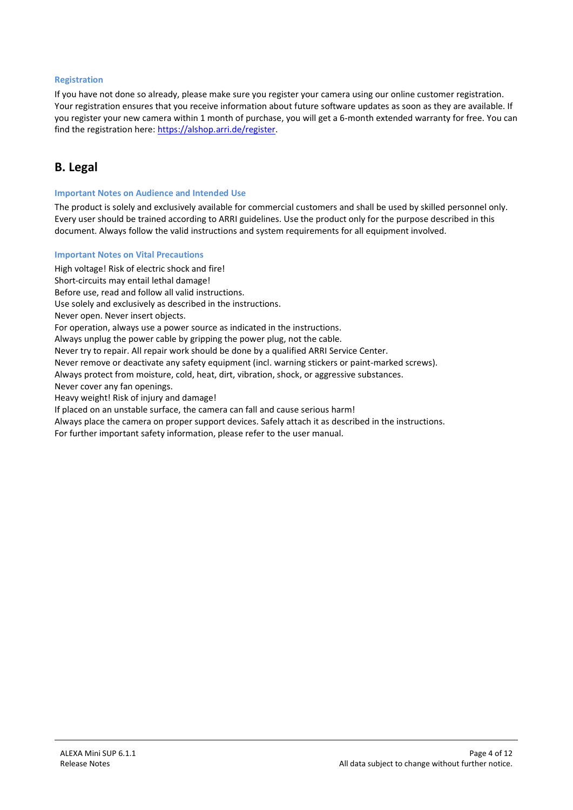#### **Registration**

If you have not done so already, please make sure you register your camera using our online customer registration. Your registration ensures that you receive information about future software updates as soon as they are available. If you register your new camera within 1 month of purchase, you will get a 6-month extended warranty for free. You can find the registration here: https://alshop.arri.de/register.

## **B. Legal**

#### **Important Notes on Audience and Intended Use**

The product is solely and exclusively available for commercial customers and shall be used by skilled personnel only. Every user should be trained according to ARRI guidelines. Use the product only for the purpose described in this document. Always follow the valid instructions and system requirements for all equipment involved.

#### **Important Notes on Vital Precautions**

High voltage! Risk of electric shock and fire!

Short-circuits may entail lethal damage!

Before use, read and follow all valid instructions.

Use solely and exclusively as described in the instructions.

Never open. Never insert objects.

For operation, always use a power source as indicated in the instructions.

Always unplug the power cable by gripping the power plug, not the cable.

Never try to repair. All repair work should be done by a qualified ARRI Service Center.

Never remove or deactivate any safety equipment (incl. warning stickers or paint-marked screws).

Always protect from moisture, cold, heat, dirt, vibration, shock, or aggressive substances.

Never cover any fan openings.

Heavy weight! Risk of injury and damage!

If placed on an unstable surface, the camera can fall and cause serious harm!

Always place the camera on proper support devices. Safely attach it as described in the instructions.

For further important safety information, please refer to the user manual.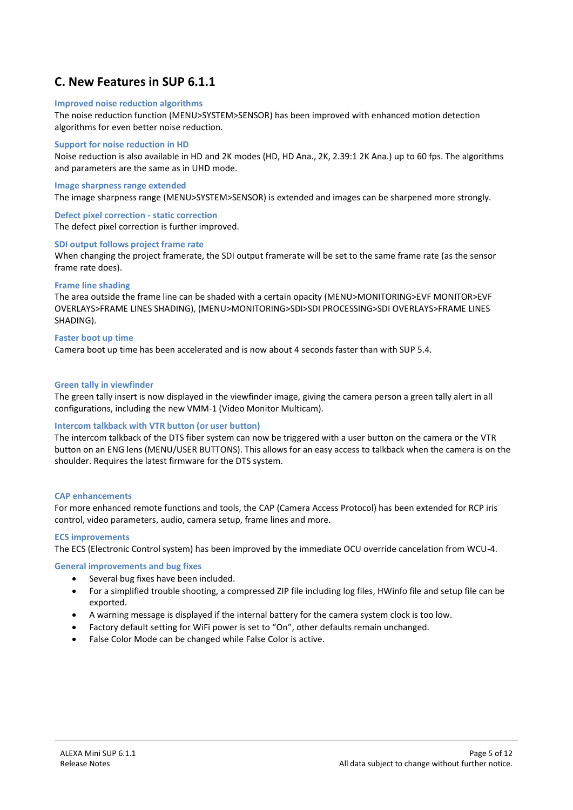## **C. New Features in SUP 6.1.1**

#### **Improved noise reduction algorithms**

The noise reduction function (MENU>SYSTEM>SENSOR) has been improved with enhanced motion detection algorithms for even better noise reduction.

#### **Support for noise reduction in HD**

Noise reduction is also available in HD and 2K modes (HD, HD Ana., 2K, 2.39:1 2K Ana.) up to 60 fps. The algorithms and parameters are the same as in UHD mode.

#### **Image sharpness range extended**

The image sharpness range (MENU>SYSTEM>SENSOR) is extended and images can be sharpened more strongly.

#### **Defect pixel correction - static correction**

The defect pixel correction is further improved.

#### **SDI output follows project frame rate**

When changing the project framerate, the SDI output framerate will be set to the same frame rate (as the sensor frame rate does).

#### **Frame line shading**

The area outside the frame line can be shaded with a certain opacity (MENU>MONITORING>EVF MONITOR>EVF OVERLAYS>FRAME LINES SHADING), (MENU>MONITORING>SDI>SDI PROCESSING>SDI OVERLAYS>FRAME LINES SHADING).

#### **Faster boot up time**

Camera boot up time has been accelerated and is now about 4 seconds faster than with SUP 5.4.

#### **Green tally in viewfinder**

The green tally insert is now displayed in the viewfinder image, giving the camera person a green tally alert in all configurations, including the new VMM-1 (Video Monitor Multicam).

#### **Intercom talkback with VTR button (or user button)**

The intercom talkback of the DTS fiber system can now be triggered with a user button on the camera or the VTR button on an ENG lens (MENU/USER BUTTONS). This allows for an easy access to talkback when the camera is on the shoulder. Requires the latest firmware for the DTS system.

#### **CAP enhancements**

For more enhanced remote functions and tools, the CAP (Camera Access Protocol) has been extended for RCP iris control, video parameters, audio, camera setup, frame lines and more.

#### **ECS improvements**

The ECS (Electronic Control system) has been improved by the immediate OCU override cancelation from WCU-4.

#### **General improvements and bug fixes**

- Several bug fixes have been included.
- For a simplified trouble shooting, a compressed ZIP file including log files, HWinfo file and setup file can be exported.
- A warning message is displayed if the internal battery for the camera system clock is too low.
- Factory default setting for WiFi power is set to "On", other defaults remain unchanged.
- False Color Mode can be changed while False Color is active.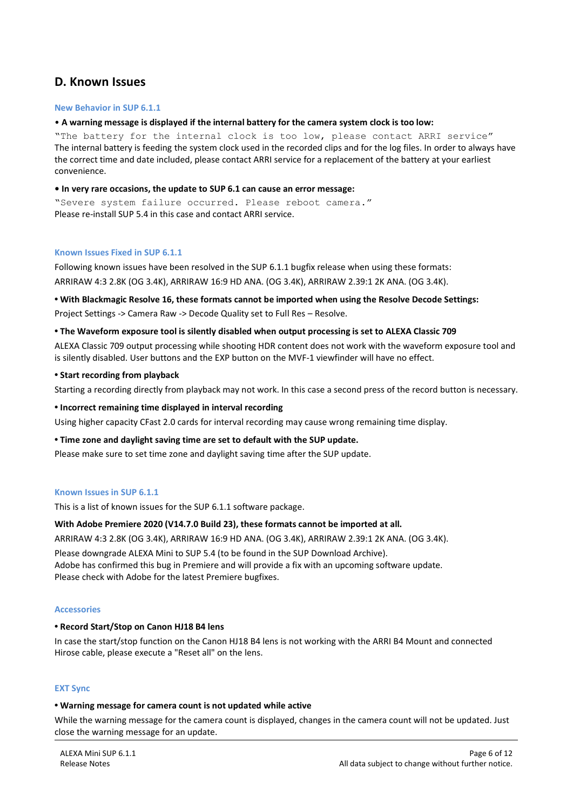### **D. Known Issues**

#### **New Behavior in SUP 6.1.1**

#### • **A warning message is displayed if the internal battery for the camera system clock is too low:**

"The battery for the internal clock is too low, please contact ARRI service" The internal battery is feeding the system clock used in the recorded clips and for the log files. In order to always have the correct time and date included, please contact ARRI service for a replacement of the battery at your earliest convenience.

#### **• In very rare occasions, the update to SUP 6.1 can cause an error message:**

"Severe system failure occurred. Please reboot camera." Please re-install SUP 5.4 in this case and contact ARRI service.

#### **Known Issues Fixed in SUP 6.1.1**

Following known issues have been resolved in the SUP 6.1.1 bugfix release when using these formats: ARRIRAW 4:3 2.8K (OG 3.4K), ARRIRAW 16:9 HD ANA. (OG 3.4K), ARRIRAW 2.39:1 2K ANA. (OG 3.4K).

#### **• With Blackmagic Resolve 16, these formats cannot be imported when using the Resolve Decode Settings:** Project Settings -> Camera Raw -> Decode Quality set to Full Res – Resolve.

#### **• The Waveform exposure tool is silently disabled when output processing is set to ALEXA Classic 709**

ALEXA Classic 709 output processing while shooting HDR content does not work with the waveform exposure tool and is silently disabled. User buttons and the EXP button on the MVF-1 viewfinder will have no effect.

#### **• Start recording from playback**

Starting a recording directly from playback may not work. In this case a second press of the record button is necessary.

#### **• Incorrect remaining time displayed in interval recording**

Using higher capacity CFast 2.0 cards for interval recording may cause wrong remaining time display.

**• Time zone and daylight saving time are set to default with the SUP update.**

Please make sure to set time zone and daylight saving time after the SUP update.

#### **Known Issues in SUP 6.1.1**

This is a list of known issues for the SUP 6.1.1 software package.

#### **With Adobe Premiere 2020 (V14.7.0 Build 23), these formats cannot be imported at all.**

ARRIRAW 4:3 2.8K (OG 3.4K), ARRIRAW 16:9 HD ANA. (OG 3.4K), ARRIRAW 2.39:1 2K ANA. (OG 3.4K). Please downgrade ALEXA Mini to SUP 5.4 (to be found in the SUP Download Archive). Adobe has confirmed this bug in Premiere and will provide a fix with an upcoming software update. Please check with Adobe for the latest Premiere bugfixes.

#### **Accessories**

#### **• Record Start/Stop on Canon HJ18 B4 lens**

In case the start/stop function on the Canon HJ18 B4 lens is not working with the ARRI B4 Mount and connected Hirose cable, please execute a "Reset all" on the lens.

#### **EXT Sync**

#### **• Warning message for camera count is not updated while active**

While the warning message for the camera count is displayed, changes in the camera count will not be updated. Just close the warning message for an update.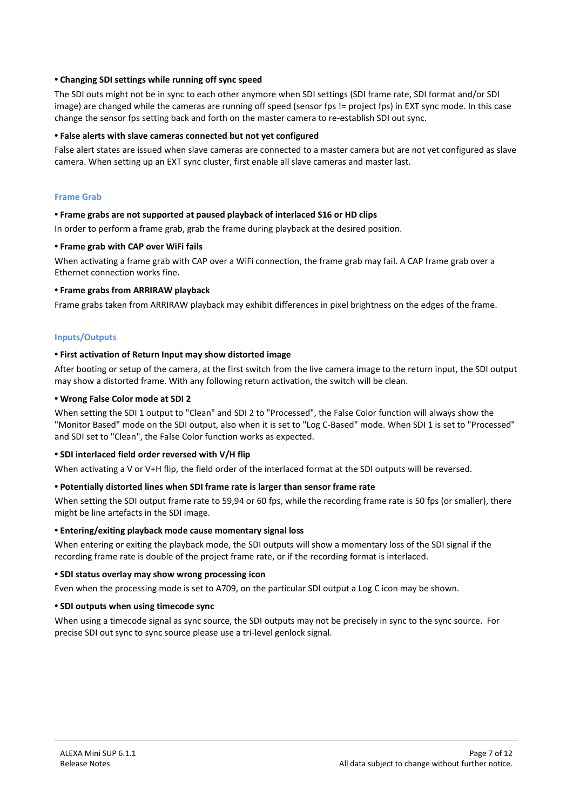#### **• Changing SDI settings while running off sync speed**

The SDI outs might not be in sync to each other anymore when SDI settings (SDI frame rate, SDI format and/or SDI image) are changed while the cameras are running off speed (sensor fps != project fps) in EXT sync mode. In this case change the sensor fps setting back and forth on the master camera to re-establish SDI out sync.

#### **• False alerts with slave cameras connected but not yet configured**

False alert states are issued when slave cameras are connected to a master camera but are not yet configured as slave camera. When setting up an EXT sync cluster, first enable all slave cameras and master last.

#### **Frame Grab**

#### **• Frame grabs are not supported at paused playback of interlaced S16 or HD clips**

In order to perform a frame grab, grab the frame during playback at the desired position.

#### **• Frame grab with CAP over WiFi fails**

When activating a frame grab with CAP over a WiFi connection, the frame grab may fail. A CAP frame grab over a Ethernet connection works fine.

#### **• Frame grabs from ARRIRAW playback**

Frame grabs taken from ARRIRAW playback may exhibit differences in pixel brightness on the edges of the frame.

#### **Inputs/Outputs**

#### **• First activation of Return Input may show distorted image**

After booting or setup of the camera, at the first switch from the live camera image to the return input, the SDI output may show a distorted frame. With any following return activation, the switch will be clean.

#### **• Wrong False Color mode at SDI 2**

When setting the SDI 1 output to "Clean" and SDI 2 to "Processed", the False Color function will always show the "Monitor Based" mode on the SDI output, also when it is set to "Log C-Based" mode. When SDI 1 is set to "Processed" and SDI set to "Clean", the False Color function works as expected.

#### **• SDI interlaced field order reversed with V/H flip**

When activating a V or V+H flip, the field order of the interlaced format at the SDI outputs will be reversed.

#### **• Potentially distorted lines when SDI frame rate is larger than sensor frame rate**

When setting the SDI output frame rate to 59,94 or 60 fps, while the recording frame rate is 50 fps (or smaller), there might be line artefacts in the SDI image.

#### **• Entering/exiting playback mode cause momentary signal loss**

When entering or exiting the playback mode, the SDI outputs will show a momentary loss of the SDI signal if the recording frame rate is double of the project frame rate, or if the recording format is interlaced.

#### **• SDI status overlay may show wrong processing icon**

Even when the processing mode is set to A709, on the particular SDI output a Log C icon may be shown.

#### **• SDI outputs when using timecode sync**

When using a timecode signal as sync source, the SDI outputs may not be precisely in sync to the sync source. For precise SDI out sync to sync source please use a tri-level genlock signal.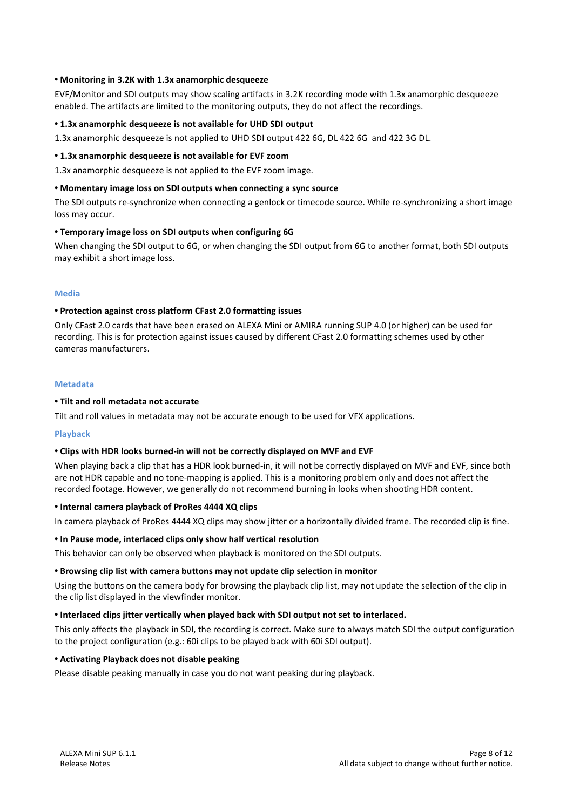#### **• Monitoring in 3.2K with 1.3x anamorphic desqueeze**

EVF/Monitor and SDI outputs may show scaling artifacts in 3.2K recording mode with 1.3x anamorphic desqueeze enabled. The artifacts are limited to the monitoring outputs, they do not affect the recordings.

#### **• 1.3x anamorphic desqueeze is not available for UHD SDI output**

1.3x anamorphic desqueeze is not applied to UHD SDI output 422 6G, DL 422 6G and 422 3G DL.

#### **• 1.3x anamorphic desqueeze is not available for EVF zoom**

1.3x anamorphic desqueeze is not applied to the EVF zoom image.

#### **• Momentary image loss on SDI outputs when connecting a sync source**

The SDI outputs re-synchronize when connecting a genlock or timecode source. While re-synchronizing a short image loss may occur.

#### **• Temporary image loss on SDI outputs when configuring 6G**

When changing the SDI output to 6G, or when changing the SDI output from 6G to another format, both SDI outputs may exhibit a short image loss.

#### **Media**

#### **• Protection against cross platform CFast 2.0 formatting issues**

Only CFast 2.0 cards that have been erased on ALEXA Mini or AMIRA running SUP 4.0 (or higher) can be used for recording. This is for protection against issues caused by different CFast 2.0 formatting schemes used by other cameras manufacturers.

#### **Metadata**

#### **• Tilt and roll metadata not accurate**

Tilt and roll values in metadata may not be accurate enough to be used for VFX applications.

#### **Playback**

#### **• Clips with HDR looks burned-in will not be correctly displayed on MVF and EVF**

When playing back a clip that has a HDR look burned-in, it will not be correctly displayed on MVF and EVF, since both are not HDR capable and no tone-mapping is applied. This is a monitoring problem only and does not affect the recorded footage. However, we generally do not recommend burning in looks when shooting HDR content.

#### **• Internal camera playback of ProRes 4444 XQ clips**

In camera playback of ProRes 4444 XQ clips may show jitter or a horizontally divided frame. The recorded clip is fine.

#### **• In Pause mode, interlaced clips only show half vertical resolution**

This behavior can only be observed when playback is monitored on the SDI outputs.

#### **• Browsing clip list with camera buttons may not update clip selection in monitor**

Using the buttons on the camera body for browsing the playback clip list, may not update the selection of the clip in the clip list displayed in the viewfinder monitor.

#### **• Interlaced clips jitter vertically when played back with SDI output not set to interlaced.**

This only affects the playback in SDI, the recording is correct. Make sure to always match SDI the output configuration to the project configuration (e.g.: 60i clips to be played back with 60i SDI output).

#### **• Activating Playback does not disable peaking**

Please disable peaking manually in case you do not want peaking during playback.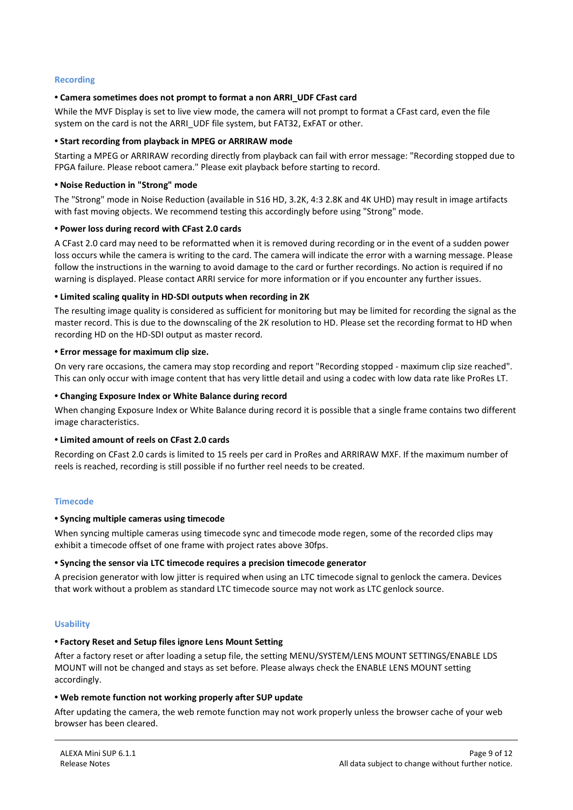#### **Recording**

#### **• Camera sometimes does not prompt to format a non ARRI\_UDF CFast card**

While the MVF Display is set to live view mode, the camera will not prompt to format a CFast card, even the file system on the card is not the ARRI\_UDF file system, but FAT32, ExFAT or other.

#### **• Start recording from playback in MPEG or ARRIRAW mode**

Starting a MPEG or ARRIRAW recording directly from playback can fail with error message: "Recording stopped due to FPGA failure. Please reboot camera." Please exit playback before starting to record.

#### **• Noise Reduction in "Strong" mode**

The "Strong" mode in Noise Reduction (available in S16 HD, 3.2K, 4:3 2.8K and 4K UHD) may result in image artifacts with fast moving objects. We recommend testing this accordingly before using "Strong" mode.

#### **• Power loss during record with CFast 2.0 cards**

A CFast 2.0 card may need to be reformatted when it is removed during recording or in the event of a sudden power loss occurs while the camera is writing to the card. The camera will indicate the error with a warning message. Please follow the instructions in the warning to avoid damage to the card or further recordings. No action is required if no warning is displayed. Please contact ARRI service for more information or if you encounter any further issues.

#### **• Limited scaling quality in HD-SDI outputs when recording in 2K**

The resulting image quality is considered as sufficient for monitoring but may be limited for recording the signal as the master record. This is due to the downscaling of the 2K resolution to HD. Please set the recording format to HD when recording HD on the HD-SDI output as master record.

#### **• Error message for maximum clip size.**

On very rare occasions, the camera may stop recording and report "Recording stopped - maximum clip size reached". This can only occur with image content that has very little detail and using a codec with low data rate like ProRes LT.

#### **• Changing Exposure Index or White Balance during record**

When changing Exposure Index or White Balance during record it is possible that a single frame contains two different image characteristics.

#### **• Limited amount of reels on CFast 2.0 cards**

Recording on CFast 2.0 cards is limited to 15 reels per card in ProRes and ARRIRAW MXF. If the maximum number of reels is reached, recording is still possible if no further reel needs to be created.

#### **Timecode**

#### **• Syncing multiple cameras using timecode**

When syncing multiple cameras using timecode sync and timecode mode regen, some of the recorded clips may exhibit a timecode offset of one frame with project rates above 30fps.

#### **• Syncing the sensor via LTC timecode requires a precision timecode generator**

A precision generator with low jitter is required when using an LTC timecode signal to genlock the camera. Devices that work without a problem as standard LTC timecode source may not work as LTC genlock source.

#### **Usability**

#### **• Factory Reset and Setup files ignore Lens Mount Setting**

After a factory reset or after loading a setup file, the setting MENU/SYSTEM/LENS MOUNT SETTINGS/ENABLE LDS MOUNT will not be changed and stays as set before. Please always check the ENABLE LENS MOUNT setting accordingly.

#### **• Web remote function not working properly after SUP update**

After updating the camera, the web remote function may not work properly unless the browser cache of your web browser has been cleared.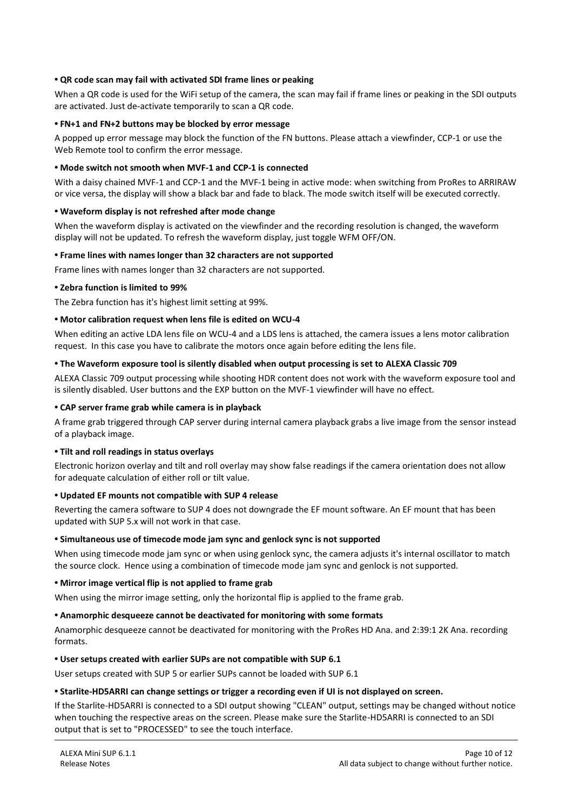#### **• QR code scan may fail with activated SDI frame lines or peaking**

When a QR code is used for the WiFi setup of the camera, the scan may fail if frame lines or peaking in the SDI outputs are activated. Just de-activate temporarily to scan a QR code.

#### **• FN+1 and FN+2 buttons may be blocked by error message**

A popped up error message may block the function of the FN buttons. Please attach a viewfinder, CCP-1 or use the Web Remote tool to confirm the error message.

#### **• Mode switch not smooth when MVF-1 and CCP-1 is connected**

With a daisy chained MVF-1 and CCP-1 and the MVF-1 being in active mode: when switching from ProRes to ARRIRAW or vice versa, the display will show a black bar and fade to black. The mode switch itself will be executed correctly.

#### **• Waveform display is not refreshed after mode change**

When the waveform display is activated on the viewfinder and the recording resolution is changed, the waveform display will not be updated. To refresh the waveform display, just toggle WFM OFF/ON.

#### **• Frame lines with names longer than 32 characters are not supported**

Frame lines with names longer than 32 characters are not supported.

#### **• Zebra function is limited to 99%**

The Zebra function has it's highest limit setting at 99%.

#### **• Motor calibration request when lens file is edited on WCU-4**

When editing an active LDA lens file on WCU-4 and a LDS lens is attached, the camera issues a lens motor calibration request. In this case you have to calibrate the motors once again before editing the lens file.

#### **• The Waveform exposure tool is silently disabled when output processing is set to ALEXA Classic 709**

ALEXA Classic 709 output processing while shooting HDR content does not work with the waveform exposure tool and is silently disabled. User buttons and the EXP button on the MVF-1 viewfinder will have no effect.

#### **• CAP server frame grab while camera is in playback**

A frame grab triggered through CAP server during internal camera playback grabs a live image from the sensor instead of a playback image.

#### **• Tilt and roll readings in status overlays**

Electronic horizon overlay and tilt and roll overlay may show false readings if the camera orientation does not allow for adequate calculation of either roll or tilt value.

#### **• Updated EF mounts not compatible with SUP 4 release**

Reverting the camera software to SUP 4 does not downgrade the EF mount software. An EF mount that has been updated with SUP 5.x will not work in that case.

#### **• Simultaneous use of timecode mode jam sync and genlock sync is not supported**

When using timecode mode jam sync or when using genlock sync, the camera adjusts it's internal oscillator to match the source clock. Hence using a combination of timecode mode jam sync and genlock is not supported.

#### **• Mirror image vertical flip is not applied to frame grab**

When using the mirror image setting, only the horizontal flip is applied to the frame grab.

#### **• Anamorphic desqueeze cannot be deactivated for monitoring with some formats**

Anamorphic desqueeze cannot be deactivated for monitoring with the ProRes HD Ana. and 2:39:1 2K Ana. recording formats.

#### **• User setups created with earlier SUPs are not compatible with SUP 6.1**

User setups created with SUP 5 or earlier SUPs cannot be loaded with SUP 6.1

#### **• Starlite-HD5ARRI can change settings or trigger a recording even if UI is not displayed on screen.**

If the Starlite-HD5ARRI is connected to a SDI output showing "CLEAN" output, settings may be changed without notice when touching the respective areas on the screen. Please make sure the Starlite-HD5ARRI is connected to an SDI output that is set to "PROCESSED" to see the touch interface.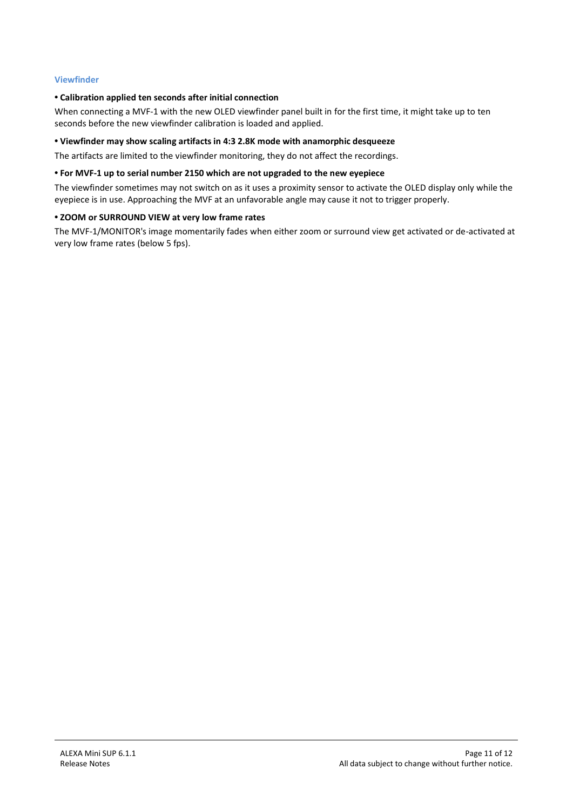#### **Viewfinder**

#### **• Calibration applied ten seconds after initial connection**

When connecting a MVF-1 with the new OLED viewfinder panel built in for the first time, it might take up to ten seconds before the new viewfinder calibration is loaded and applied.

#### **• Viewfinder may show scaling artifacts in 4:3 2.8K mode with anamorphic desqueeze**

The artifacts are limited to the viewfinder monitoring, they do not affect the recordings.

#### **• For MVF-1 up to serial number 2150 which are not upgraded to the new eyepiece**

The viewfinder sometimes may not switch on as it uses a proximity sensor to activate the OLED display only while the eyepiece is in use. Approaching the MVF at an unfavorable angle may cause it not to trigger properly.

#### **• ZOOM or SURROUND VIEW at very low frame rates**

The MVF-1/MONITOR's image momentarily fades when either zoom or surround view get activated or de-activated at very low frame rates (below 5 fps).